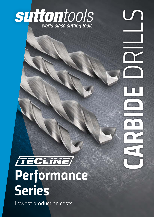

 *CARBIDE* DRILLS

# **TECLINE** *Performance Series*

Lowest production costs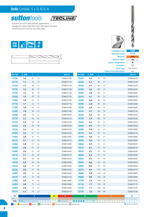

- *Suitable for steels and abrasive applications*
- *Designed to allow high feed rates with good chip flow*
- *Four facet point ensures accurate holes*

**suttontools** 





|                  |         |    |                  |   |           |                  |         |     | <b>Shank Form (DIN 6535)</b> | HA        |
|------------------|---------|----|------------------|---|-----------|------------------|---------|-----|------------------------------|-----------|
| <b>Size Ref.</b> | d. (h8) | 1, | $\mathbf{l}_{2}$ |   | Item#     | <b>Size Ref.</b> | d, (h8) | Т,  | $\mathbf{l}_2$               | Item#     |
| 0100             | 1.0     | 34 | 13               |   | D3680100  | 0420             | 4.2     | 75  | 43                           | D3680420  |
| 0110             | 1.1     | 36 | 15               |   | D3680110  | 0430             | 4.3     | 80  | 47                           | D3680430  |
| 0120             | 1.2     | 38 | 17               |   | D3680120  | 0440             | 4.4     | 80  | 47                           | D3680440  |
| 0130             | 1.3     | 38 | 17               |   | D3680130  | 0450             | 4.5     | 80  | 47                           | D3680450  |
| 0140             | 1.4     | 40 | 19               |   | D3680140  | 0460             | 4.6     | 80  | 47                           | D3680460  |
| 0150             | 1.5     | 40 | 19               |   | D3680150  | 0470             | 4.7     | 80  | 47                           | D3680470  |
| 0160             | 1.6     | 43 | 21               |   | D3680160  | 0480             | 4.8     | 86  | 52                           | D3680480  |
| 0170             | 1.7     | 43 | 21               |   | D3680170  | 0490             | 4.9     | 86  | 52                           | D3680490  |
| 0180             | 1.8     | 46 | 23               |   | D3680180  | 0500             | 5.0     | 86  | 52                           | D368 0500 |
| 0190             | 1.9     | 46 | 23               |   | D3680190  | 0510             | 5.1     | 86  | 52                           | D3680510  |
| 0200             | 2.0     | 49 | 24               |   | D3680200  | 0520             | 5.2     | 86  | 52                           | D368 0520 |
| 0210             | 2.1     | 49 | 24               |   | D3680210  | 0530             | 5.3     | 86  | 52                           | D368 0530 |
| 0220             | 2.2     | 53 | 28               |   | D3680220  | 0540             | 5.4     | 93  | 57                           | D368 0540 |
| 0230             | 2.3     | 53 | 28               |   | D3680230  | 0550             | 5.5     | 93  | 57                           | D368 0550 |
| 0240             | 2.4     | 57 | 31               |   | D3680240  | 0560             | 5.6     | 93  | 57                           | D368 0560 |
| 0250             | 2.5     | 57 | 31               |   | D368 0250 | 0570             | 5.7     | 93  | 57                           | D3680570  |
| 0260             | 2.6     | 57 | 31               |   | D3680260  | 0580             | 5.8     | 93  | 57                           | D368 0580 |
| 0270             | 2.7     | 61 | 34               |   | D3680270  | 0590             | 5.9     | 93  | 57                           | D368 0590 |
| 0280             | 2.8     | 61 | 34               |   | D3680280  | 0600             | 6.0     | 93  | 57                           | D368 0600 |
| 0290             | 2.9     | 61 | 34               |   | D3680290  | 0610             | 6.1     | 101 | 63                           | D3680610  |
| 0300             | 3.0     | 61 | 33               |   | D3680300  | 0620             | 6.2     | 101 | 63                           | D368 0620 |
| 0310             | 3.1     | 65 | 36               |   | D3680310  | 0630             | 6.3     | 101 | 63                           | D3680630  |
| 0320             | 3.2     | 65 | 36               |   | D3680320  | 0640             | 6.4     | 101 | 63                           | D368 0640 |
| 0330             | 3.3     | 65 | 36               |   | D3680330  | 0650             | 6.5     | 101 | 63                           | D368 0650 |
| 0340             | 3.4     | 70 | 39               |   | D3680340  | 0660             | 6.6     | 101 | 63                           | D368 0660 |
| 0350             | 3.5     | 70 | 39               |   | D3680350  | 0670             | 6.7     | 101 | 63                           | D368 0670 |
| 0360             | 3.6     | 70 | 39               |   | D3680360  | 0680             | 6.8     | 109 | 69                           | D368 0680 |
| 0370             | 3.7     | 70 | 39               |   | D3680370  | 0690             | 6.9     | 109 | 69                           | D3680690  |
| 0380             | 3.8     | 75 | 43               |   | D3680380  | 0700             | 7.0     | 109 | 69                           | D3680700  |
| 0390             | 3.9     | 75 | 43               |   | D3680390  | 0710             | 7.1     | 109 | 69                           | D3680710  |
| 0400             | 4.0     | 75 | 43               |   | D3680400  | 0720             | 7.2     | 109 | 69                           | D3680720  |
| 0410             | 4.1     | 75 | 43               |   | D3680410  | 0730             | 7.3     | 109 | 69                           | D3680730  |
| ISO              |         | P  |                  | M | K.        | N                |         |     | s.                           | н         |

*P Steel M Stainless Steel K Cast Iron N Non-Ferrous Metals S Titanium & Super Alloys H Hard Materials* <u>DI зз2з 1 2 3 4 5 6 7 8</u><br>D368 ● ● O O O O O O C *VDI 3323 1 2 3 4 5 6 P <sup>9</sup> <sup>10</sup> <sup>11</sup> <sup>12</sup> <sup>13</sup> 14.1 M 14.2 14.3* • *K* • • *17* • *<sup>18</sup> <sup>19</sup> <sup>20</sup>* • *21 N* • • *23* • *24* • *<sup>25</sup> <sup>26</sup> <sup>27</sup> <sup>28</sup>* • *<sup>29</sup> <sup>30</sup> <sup>31</sup> S 33 34 35 36 37.1 37.2 37.3 37.4 37.5 38.1 38.2 39.1 39.2 40 41* • *Optimal* • *Effective H*





*Catalogue Code D368 Discount Group A0208 Material VHM Surface Finish Brt Sutton Designation N Geometry* R25 *Point Type* 118° Form C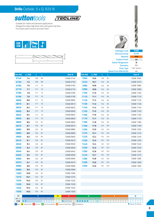



- *Suitable for steels and abrasive applications*
- *Designed to allow high feed rates with good chip flow*
- *Four facet point ensures accurate holes*





|                 |                                 |                 |                  |                                                                                                                                                                                                                                 |                                                               |           |     |                | <b>Shank Form (DIN 6535)</b> | HA        |
|-----------------|---------------------------------|-----------------|------------------|---------------------------------------------------------------------------------------------------------------------------------------------------------------------------------------------------------------------------------|---------------------------------------------------------------|-----------|-----|----------------|------------------------------|-----------|
| Size Ref.       | $d_1$ (h8)                      | $\mathbf{l}_i$  | $\mathbf{l}_{2}$ | Item#                                                                                                                                                                                                                           | Size Ref.                                                     | $d_1(h8)$ | Т,  | $\mathbf{l}_2$ |                              | Item#     |
| 0740            | 7.4                             | 109             | 69               | D3680740                                                                                                                                                                                                                        | 1060                                                          | 10.6      | 133 | 87             |                              | D368 1060 |
| 0750            | 7.5                             | 109             | 69               | D3680750                                                                                                                                                                                                                        | 1070                                                          | 10.7      | 142 | 94             |                              | D368 1070 |
| 0760            | 7.6                             | 117             | 75               | D3680760                                                                                                                                                                                                                        | 1080                                                          | 10.8      | 142 | 94             |                              | D368 1080 |
| 0770            | 7.7                             | 117             | 75               | D3680770                                                                                                                                                                                                                        | 1090                                                          | 10.9      | 142 | 94             |                              | D368 1090 |
| 0780            | 7.8                             | 117             | 75               | D3680780                                                                                                                                                                                                                        | 1100                                                          | 11.0      | 142 | 94             |                              | D368 1100 |
| 0790            | 7.9                             | 117             | 75               | D3680790                                                                                                                                                                                                                        | 1110                                                          | 11.1      | 142 | 94             |                              | D368 1110 |
| 0800            | 8.0                             | 117             | 75               | D3680800                                                                                                                                                                                                                        | 1120                                                          | 11.2      | 142 | 94             |                              | D368 1120 |
| 0810            | 8.1                             | 117             | 75               | D3680810                                                                                                                                                                                                                        | 1130                                                          | 11.3      | 142 | 94             |                              | D368 1130 |
| 0820            | 8.2                             | 117             | 75               | D3680820                                                                                                                                                                                                                        | 1140                                                          | 11.4      | 142 | 94             |                              | D368 1140 |
| 0830            | 8.3                             | 117             | 75               | D3680830                                                                                                                                                                                                                        | 1150                                                          | 11.5      | 142 | 94             |                              | D368 1150 |
| 0840            | 8.4                             | 117             | 75               | D3680840                                                                                                                                                                                                                        | 1160                                                          | 11.6      | 142 | 94             |                              | D368 1160 |
| 0850            | 8.5                             | 117             | 75               | D368 0850                                                                                                                                                                                                                       | 1170                                                          | 11.7      | 142 | 94             |                              | D368 1170 |
| 0860            | 8.6                             | 125             | 81               | D3680860                                                                                                                                                                                                                        | 1180                                                          | 11.8      | 142 | 94             |                              | D368 1180 |
| 0870            | 8.7                             | 125             | 81               | D3680870                                                                                                                                                                                                                        | 1190                                                          | 11.9      | 151 | 101            |                              | D368 1190 |
| 0880            | 8.8                             | 125             | 81               | D3680880                                                                                                                                                                                                                        | 1200                                                          | 12.0      | 151 | 101            |                              | D368 1200 |
| 0890            | 8.9                             | 125             | 81               | D3680890                                                                                                                                                                                                                        | 1210                                                          | 12.1      | 151 | 101            |                              | D368 1210 |
| 0900            | 9.0                             | 125             | 81               | D3680900                                                                                                                                                                                                                        | 1220                                                          | 12.2      | 151 | 101            |                              | D368 1220 |
| 0910            | 9.1                             | 125             | 81               | D3680910                                                                                                                                                                                                                        | 1230                                                          | 12.3      | 151 | 101            |                              | D368 1230 |
| 0920            | 9.2                             | 125             | 81               | D3680920                                                                                                                                                                                                                        | 1240                                                          | 12.4      | 151 | 101            |                              | D368 1240 |
| 0930            | 9.3                             | 125             | 81               | D3680930                                                                                                                                                                                                                        | 1250                                                          | 12.5      | 151 | 101            |                              | D368 1250 |
| 0940            | 9.4                             | 125             | 81               | D3680940                                                                                                                                                                                                                        | 1260                                                          | 12.6      | 151 | 101            |                              | D368 1260 |
| 0950            | 9.5                             | 125             | 81               | D368 0950                                                                                                                                                                                                                       | 1270                                                          | 12.7      | 151 | 101            |                              | D368 1270 |
| 0960            | 9.6                             | 133             | 87               | D3680960                                                                                                                                                                                                                        | 1280                                                          | 12.8      | 151 | 101            |                              | D368 1280 |
| 0970            | 9.7                             | 133             | 87               | D3680970                                                                                                                                                                                                                        | 1290                                                          | 12.9      | 151 | 101            |                              | D368 1290 |
| 0980            | 9.8                             | 133             | 87               | D3680980                                                                                                                                                                                                                        | 1300                                                          | 13.0      | 151 | 101            |                              | D368 1300 |
| 0990            | 9.9                             | 133             | 87               | D3680990                                                                                                                                                                                                                        |                                                               |           |     |                |                              |           |
| 1000            | 10.0                            | 133             | 87               | D368 1000                                                                                                                                                                                                                       |                                                               |           |     |                |                              |           |
| 1010            | 10.1                            | 133             | 87               | D368 1010                                                                                                                                                                                                                       |                                                               |           |     |                |                              |           |
| 1020            | 10.2                            | 133             | 87               | D368 1020                                                                                                                                                                                                                       |                                                               |           |     |                |                              |           |
| 1030            | 10.3                            | 133             | 87               | D368 1030                                                                                                                                                                                                                       |                                                               |           |     |                |                              |           |
| 1040            | 10.4                            | 133             | 87               | D368 1040                                                                                                                                                                                                                       |                                                               |           |     |                |                              |           |
| 1050            | 10.5                            | 133             | 87               | D368 1050                                                                                                                                                                                                                       |                                                               |           |     |                |                              |           |
| ISO             |                                 | p               |                  | M<br>K                                                                                                                                                                                                                          | N                                                             |           |     | s              |                              | н         |
| <b>VDI 3323</b> | $1 \mid 2 \mid 3 \mid 4 \mid 5$ | $6 \mid 7 \mid$ | 8                | 9 10 11 2 13 14 15 2 37 37 38 37 37 38 37 38 37 38 38 38 38 38 38 39 39 30 31 32 33 37 4 37 38 38 38 37 37 38 38 38 38 38 38 39 39 39 39 39 4 39 30 39 39 39 39 39 39 39 39 39 39 39 4 37 38 38 38 38 38 39 39 39 39 39 39 39 3 |                                                               |           |     |                |                              |           |
| D368            | $\bullet$<br>$\bullet$          | 0 0 0 0 0       |                  | 0 0 <br>$\bullet$                                                                                                                                                                                                               | $\bullet$<br>$\bullet$<br>$\bullet$<br>$\bullet$<br>$\bullet$ | $\circ$   |     |                |                              |           |



*Catalogue Code D368 Discount Group A0208 Material VHM Surface Finish Brt Sutton Designation N Geometry* R25 *Point Type* 118° Form C

• *Optimal* • *Effective*